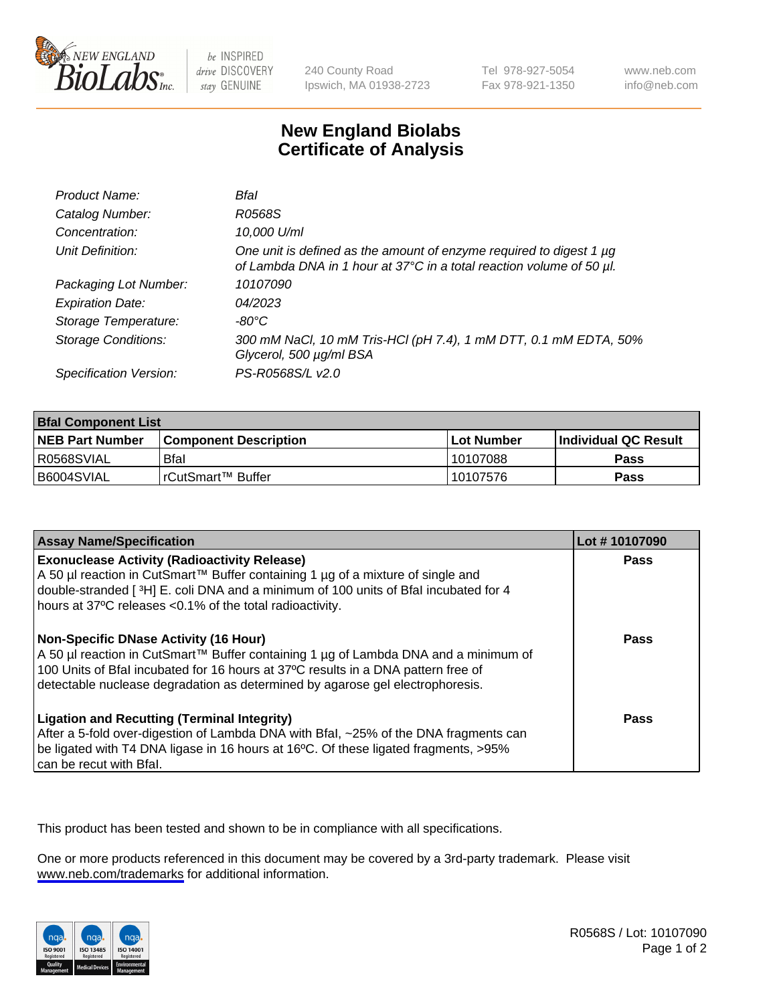

be INSPIRED drive DISCOVERY stay GENUINE

240 County Road Ipswich, MA 01938-2723 Tel 978-927-5054 Fax 978-921-1350

www.neb.com info@neb.com

## **New England Biolabs Certificate of Analysis**

| Product Name:              | Bfal                                                                                                                                        |
|----------------------------|---------------------------------------------------------------------------------------------------------------------------------------------|
| Catalog Number:            | R0568S                                                                                                                                      |
| Concentration:             | 10,000 U/ml                                                                                                                                 |
| Unit Definition:           | One unit is defined as the amount of enzyme required to digest 1 µg<br>of Lambda DNA in 1 hour at 37°C in a total reaction volume of 50 µl. |
| Packaging Lot Number:      | 10107090                                                                                                                                    |
| <b>Expiration Date:</b>    | 04/2023                                                                                                                                     |
| Storage Temperature:       | -80°C                                                                                                                                       |
| <b>Storage Conditions:</b> | 300 mM NaCl, 10 mM Tris-HCl (pH 7.4), 1 mM DTT, 0.1 mM EDTA, 50%<br>Glycerol, 500 µg/ml BSA                                                 |
| Specification Version:     | PS-R0568S/L v2.0                                                                                                                            |

| <b>Bfal Component List</b> |                              |              |                             |  |
|----------------------------|------------------------------|--------------|-----------------------------|--|
| <b>NEB Part Number</b>     | <b>Component Description</b> | l Lot Number | <b>Individual QC Result</b> |  |
| R0568SVIAL                 | Bfal                         | 10107088     | Pass                        |  |
| B6004SVIAL                 | l rCutSmart™ Buffer          | 10107576     | Pass                        |  |

| <b>Assay Name/Specification</b>                                                                                                                                                                                                                                                                    | Lot #10107090 |
|----------------------------------------------------------------------------------------------------------------------------------------------------------------------------------------------------------------------------------------------------------------------------------------------------|---------------|
| <b>Exonuclease Activity (Radioactivity Release)</b><br>A 50 µl reaction in CutSmart™ Buffer containing 1 µg of a mixture of single and<br>double-stranded [3H] E. coli DNA and a minimum of 100 units of Bfal incubated for 4<br>hours at 37°C releases <0.1% of the total radioactivity.          | Pass          |
| Non-Specific DNase Activity (16 Hour)<br>A 50 µl reaction in CutSmart™ Buffer containing 1 µg of Lambda DNA and a minimum of<br>100 Units of Bfal incubated for 16 hours at 37°C results in a DNA pattern free of<br>detectable nuclease degradation as determined by agarose gel electrophoresis. | <b>Pass</b>   |
| <b>Ligation and Recutting (Terminal Integrity)</b><br>After a 5-fold over-digestion of Lambda DNA with Bfal, ~25% of the DNA fragments can<br>be ligated with T4 DNA ligase in 16 hours at 16°C. Of these ligated fragments, >95%<br>can be recut with Bfal.                                       | Pass          |

This product has been tested and shown to be in compliance with all specifications.

One or more products referenced in this document may be covered by a 3rd-party trademark. Please visit <www.neb.com/trademarks>for additional information.